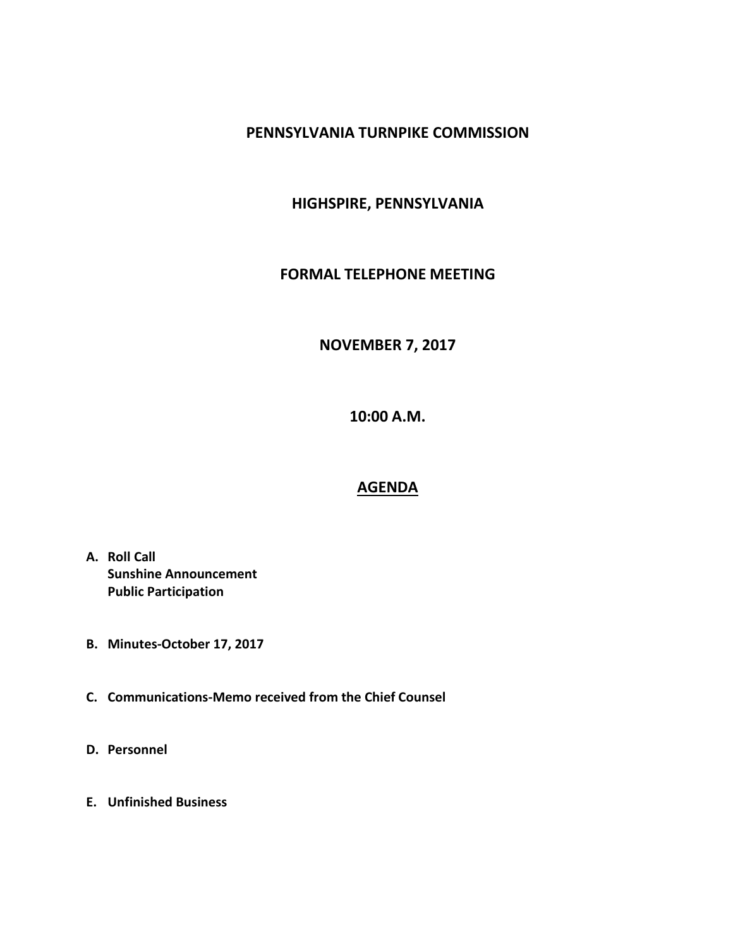## **PENNSYLVANIA TURNPIKE COMMISSION**

# **HIGHSPIRE, PENNSYLVANIA**

#### **FORMAL TELEPHONE MEETING**

### **NOVEMBER 7, 2017**

**10:00 A.M.**

#### **AGENDA**

- **A. Roll Call Sunshine Announcement Public Participation**
- **B. Minutes-October 17, 2017**
- **C. Communications-Memo received from the Chief Counsel**
- **D. Personnel**
- **E. Unfinished Business**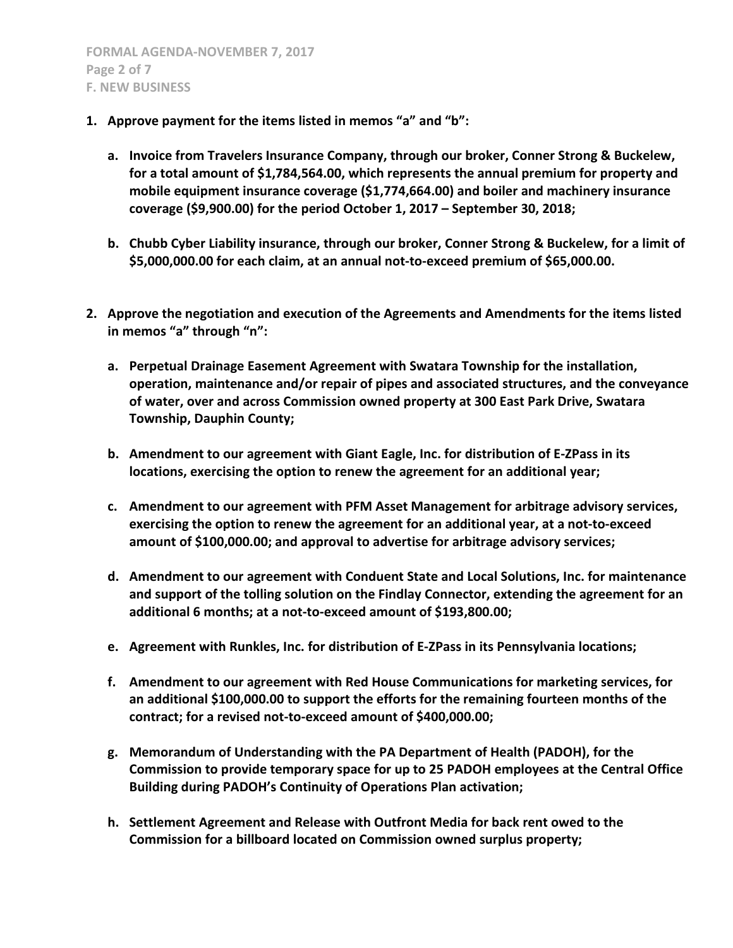- **1. Approve payment for the items listed in memos "a" and "b":**
	- **a. Invoice from Travelers Insurance Company, through our broker, Conner Strong & Buckelew, for a total amount of \$1,784,564.00, which represents the annual premium for property and mobile equipment insurance coverage (\$1,774,664.00) and boiler and machinery insurance coverage (\$9,900.00) for the period October 1, 2017 – September 30, 2018;**
	- **b. Chubb Cyber Liability insurance, through our broker, Conner Strong & Buckelew, for a limit of \$5,000,000.00 for each claim, at an annual not-to-exceed premium of \$65,000.00.**
- **2. Approve the negotiation and execution of the Agreements and Amendments for the items listed in memos "a" through "n":**
	- **a. Perpetual Drainage Easement Agreement with Swatara Township for the installation, operation, maintenance and/or repair of pipes and associated structures, and the conveyance of water, over and across Commission owned property at 300 East Park Drive, Swatara Township, Dauphin County;**
	- **b. Amendment to our agreement with Giant Eagle, Inc. for distribution of E-ZPass in its locations, exercising the option to renew the agreement for an additional year;**
	- **c. Amendment to our agreement with PFM Asset Management for arbitrage advisory services, exercising the option to renew the agreement for an additional year, at a not-to-exceed amount of \$100,000.00; and approval to advertise for arbitrage advisory services;**
	- **d. Amendment to our agreement with Conduent State and Local Solutions, Inc. for maintenance and support of the tolling solution on the Findlay Connector, extending the agreement for an additional 6 months; at a not-to-exceed amount of \$193,800.00;**
	- **e. Agreement with Runkles, Inc. for distribution of E-ZPass in its Pennsylvania locations;**
	- **f. Amendment to our agreement with Red House Communications for marketing services, for an additional \$100,000.00 to support the efforts for the remaining fourteen months of the contract; for a revised not-to-exceed amount of \$400,000.00;**
	- **g. Memorandum of Understanding with the PA Department of Health (PADOH), for the Commission to provide temporary space for up to 25 PADOH employees at the Central Office Building during PADOH's Continuity of Operations Plan activation;**
	- **h. Settlement Agreement and Release with Outfront Media for back rent owed to the Commission for a billboard located on Commission owned surplus property;**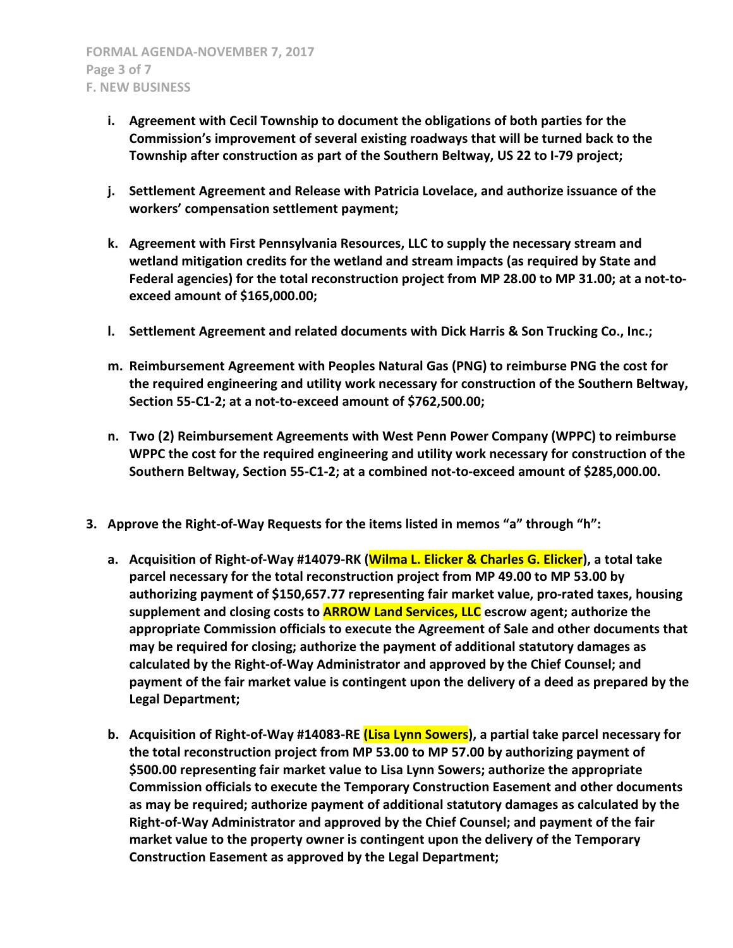- **i. Agreement with Cecil Township to document the obligations of both parties for the Commission's improvement of several existing roadways that will be turned back to the Township after construction as part of the Southern Beltway, US 22 to I-79 project;**
- **j. Settlement Agreement and Release with Patricia Lovelace, and authorize issuance of the workers' compensation settlement payment;**
- **k. Agreement with First Pennsylvania Resources, LLC to supply the necessary stream and wetland mitigation credits for the wetland and stream impacts (as required by State and Federal agencies) for the total reconstruction project from MP 28.00 to MP 31.00; at a not-toexceed amount of \$165,000.00;**
- **l. Settlement Agreement and related documents with Dick Harris & Son Trucking Co., Inc.;**
- **m. Reimbursement Agreement with Peoples Natural Gas (PNG) to reimburse PNG the cost for the required engineering and utility work necessary for construction of the Southern Beltway, Section 55-C1-2; at a not-to-exceed amount of \$762,500.00;**
- **n. Two (2) Reimbursement Agreements with West Penn Power Company (WPPC) to reimburse WPPC the cost for the required engineering and utility work necessary for construction of the Southern Beltway, Section 55-C1-2; at a combined not-to-exceed amount of \$285,000.00.**
- **3. Approve the Right-of-Way Requests for the items listed in memos "a" through "h":**
	- **a. Acquisition of Right-of-Way #14079-RK (Wilma L. Elicker & Charles G. Elicker), a total take parcel necessary for the total reconstruction project from MP 49.00 to MP 53.00 by authorizing payment of \$150,657.77 representing fair market value, pro-rated taxes, housing supplement and closing costs to ARROW Land Services, LLC escrow agent; authorize the appropriate Commission officials to execute the Agreement of Sale and other documents that may be required for closing; authorize the payment of additional statutory damages as calculated by the Right-of-Way Administrator and approved by the Chief Counsel; and payment of the fair market value is contingent upon the delivery of a deed as prepared by the Legal Department;**
	- **b. Acquisition of Right-of-Way #14083-RE (Lisa Lynn Sowers), a partial take parcel necessary for the total reconstruction project from MP 53.00 to MP 57.00 by authorizing payment of \$500.00 representing fair market value to Lisa Lynn Sowers; authorize the appropriate Commission officials to execute the Temporary Construction Easement and other documents as may be required; authorize payment of additional statutory damages as calculated by the Right-of-Way Administrator and approved by the Chief Counsel; and payment of the fair market value to the property owner is contingent upon the delivery of the Temporary Construction Easement as approved by the Legal Department;**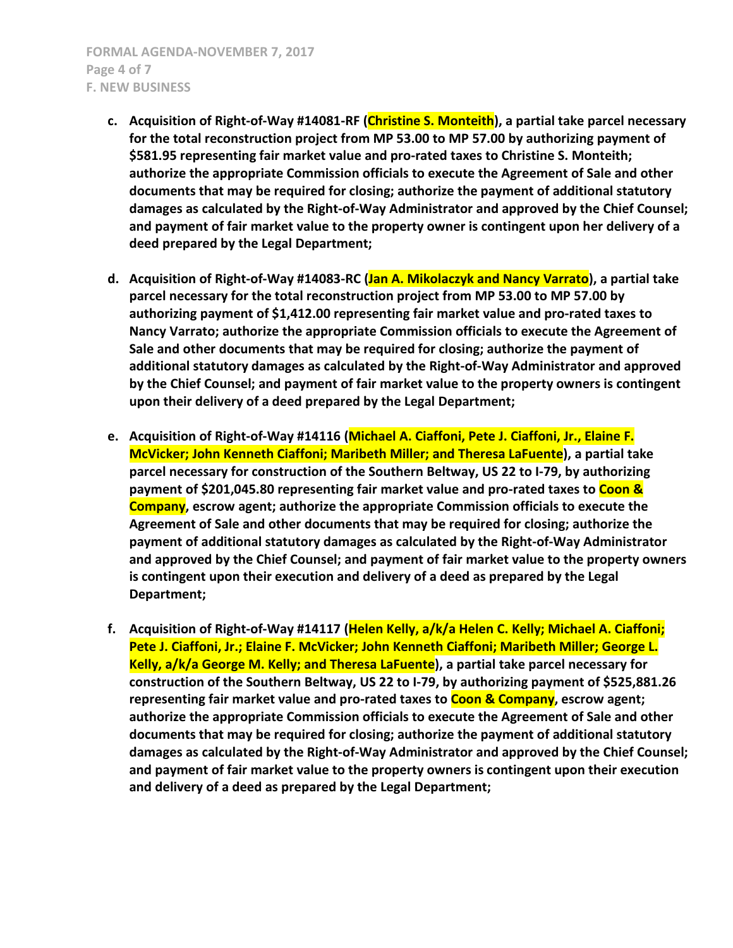- **c. Acquisition of Right-of-Way #14081-RF (Christine S. Monteith), a partial take parcel necessary for the total reconstruction project from MP 53.00 to MP 57.00 by authorizing payment of \$581.95 representing fair market value and pro-rated taxes to Christine S. Monteith; authorize the appropriate Commission officials to execute the Agreement of Sale and other documents that may be required for closing; authorize the payment of additional statutory damages as calculated by the Right-of-Way Administrator and approved by the Chief Counsel; and payment of fair market value to the property owner is contingent upon her delivery of a deed prepared by the Legal Department;**
- **d. Acquisition of Right-of-Way #14083-RC (Jan A. Mikolaczyk and Nancy Varrato), a partial take parcel necessary for the total reconstruction project from MP 53.00 to MP 57.00 by authorizing payment of \$1,412.00 representing fair market value and pro-rated taxes to Nancy Varrato; authorize the appropriate Commission officials to execute the Agreement of Sale and other documents that may be required for closing; authorize the payment of additional statutory damages as calculated by the Right-of-Way Administrator and approved by the Chief Counsel; and payment of fair market value to the property owners is contingent upon their delivery of a deed prepared by the Legal Department;**
- **e. Acquisition of Right-of-Way #14116 (Michael A. Ciaffoni, Pete J. Ciaffoni, Jr., Elaine F. McVicker; John Kenneth Ciaffoni; Maribeth Miller; and Theresa LaFuente), a partial take parcel necessary for construction of the Southern Beltway, US 22 to I-79, by authorizing payment of \$201,045.80 representing fair market value and pro-rated taxes to Coon & Company, escrow agent; authorize the appropriate Commission officials to execute the Agreement of Sale and other documents that may be required for closing; authorize the payment of additional statutory damages as calculated by the Right-of-Way Administrator and approved by the Chief Counsel; and payment of fair market value to the property owners is contingent upon their execution and delivery of a deed as prepared by the Legal Department;**
- **f. Acquisition of Right-of-Way #14117 (Helen Kelly, a/k/a Helen C. Kelly; Michael A. Ciaffoni; Pete J. Ciaffoni, Jr.; Elaine F. McVicker; John Kenneth Ciaffoni; Maribeth Miller; George L. Kelly, a/k/a George M. Kelly; and Theresa LaFuente), a partial take parcel necessary for construction of the Southern Beltway, US 22 to I-79, by authorizing payment of \$525,881.26 representing fair market value and pro-rated taxes to Coon & Company, escrow agent; authorize the appropriate Commission officials to execute the Agreement of Sale and other documents that may be required for closing; authorize the payment of additional statutory damages as calculated by the Right-of-Way Administrator and approved by the Chief Counsel; and payment of fair market value to the property owners is contingent upon their execution and delivery of a deed as prepared by the Legal Department;**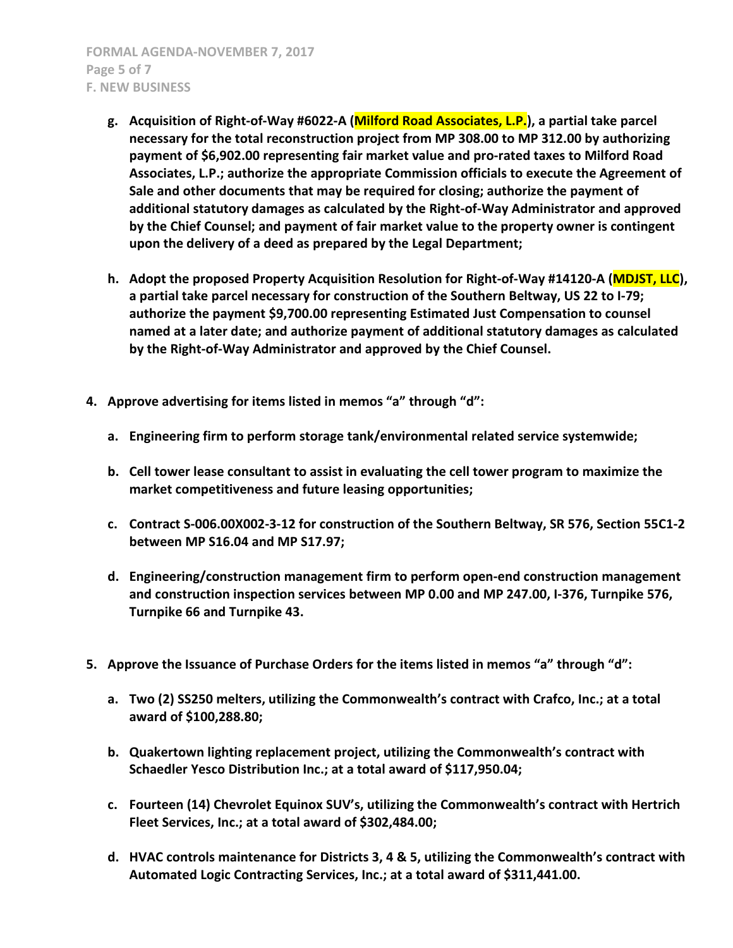- **g. Acquisition of Right-of-Way #6022-A (Milford Road Associates, L.P.), a partial take parcel necessary for the total reconstruction project from MP 308.00 to MP 312.00 by authorizing payment of \$6,902.00 representing fair market value and pro-rated taxes to Milford Road Associates, L.P.; authorize the appropriate Commission officials to execute the Agreement of Sale and other documents that may be required for closing; authorize the payment of additional statutory damages as calculated by the Right-of-Way Administrator and approved by the Chief Counsel; and payment of fair market value to the property owner is contingent upon the delivery of a deed as prepared by the Legal Department;**
- **h. Adopt the proposed Property Acquisition Resolution for Right-of-Way #14120-A (MDJST, LLC), a partial take parcel necessary for construction of the Southern Beltway, US 22 to I-79; authorize the payment \$9,700.00 representing Estimated Just Compensation to counsel named at a later date; and authorize payment of additional statutory damages as calculated by the Right-of-Way Administrator and approved by the Chief Counsel.**
- **4. Approve advertising for items listed in memos "a" through "d":**
	- **a. Engineering firm to perform storage tank/environmental related service systemwide;**
	- **b. Cell tower lease consultant to assist in evaluating the cell tower program to maximize the market competitiveness and future leasing opportunities;**
	- **c. Contract S-006.00X002-3-12 for construction of the Southern Beltway, SR 576, Section 55C1-2 between MP S16.04 and MP S17.97;**
	- **d. Engineering/construction management firm to perform open-end construction management and construction inspection services between MP 0.00 and MP 247.00, I-376, Turnpike 576, Turnpike 66 and Turnpike 43.**
- **5. Approve the Issuance of Purchase Orders for the items listed in memos "a" through "d":**
	- **a. Two (2) SS250 melters, utilizing the Commonwealth's contract with Crafco, Inc.; at a total award of \$100,288.80;**
	- **b. Quakertown lighting replacement project, utilizing the Commonwealth's contract with Schaedler Yesco Distribution Inc.; at a total award of \$117,950.04;**
	- **c. Fourteen (14) Chevrolet Equinox SUV's, utilizing the Commonwealth's contract with Hertrich Fleet Services, Inc.; at a total award of \$302,484.00;**
	- **d. HVAC controls maintenance for Districts 3, 4 & 5, utilizing the Commonwealth's contract with Automated Logic Contracting Services, Inc.; at a total award of \$311,441.00.**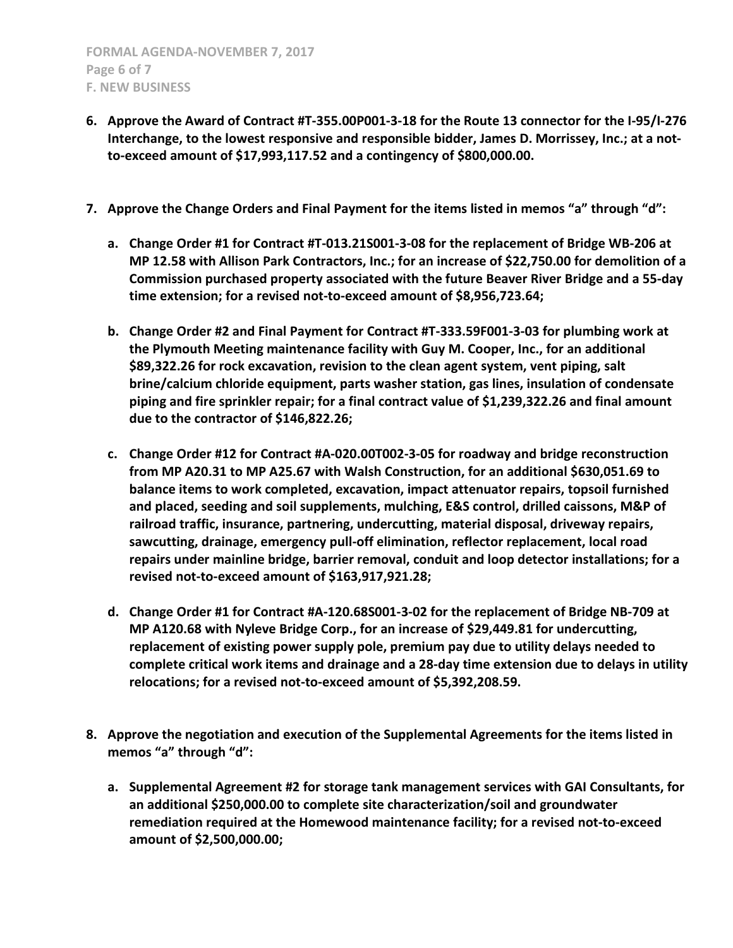- **6. Approve the Award of Contract #T-355.00P001-3-18 for the Route 13 connector for the I-95/I-276 Interchange, to the lowest responsive and responsible bidder, James D. Morrissey, Inc.; at a notto-exceed amount of \$17,993,117.52 and a contingency of \$800,000.00.**
- **7. Approve the Change Orders and Final Payment for the items listed in memos "a" through "d":**
	- **a. Change Order #1 for Contract #T-013.21S001-3-08 for the replacement of Bridge WB-206 at MP 12.58 with Allison Park Contractors, Inc.; for an increase of \$22,750.00 for demolition of a Commission purchased property associated with the future Beaver River Bridge and a 55-day time extension; for a revised not-to-exceed amount of \$8,956,723.64;**
	- **b. Change Order #2 and Final Payment for Contract #T-333.59F001-3-03 for plumbing work at the Plymouth Meeting maintenance facility with Guy M. Cooper, Inc., for an additional \$89,322.26 for rock excavation, revision to the clean agent system, vent piping, salt brine/calcium chloride equipment, parts washer station, gas lines, insulation of condensate piping and fire sprinkler repair; for a final contract value of \$1,239,322.26 and final amount due to the contractor of \$146,822.26;**
	- **c. Change Order #12 for Contract #A-020.00T002-3-05 for roadway and bridge reconstruction from MP A20.31 to MP A25.67 with Walsh Construction, for an additional \$630,051.69 to balance items to work completed, excavation, impact attenuator repairs, topsoil furnished and placed, seeding and soil supplements, mulching, E&S control, drilled caissons, M&P of railroad traffic, insurance, partnering, undercutting, material disposal, driveway repairs, sawcutting, drainage, emergency pull-off elimination, reflector replacement, local road repairs under mainline bridge, barrier removal, conduit and loop detector installations; for a revised not-to-exceed amount of \$163,917,921.28;**
	- **d. Change Order #1 for Contract #A-120.68S001-3-02 for the replacement of Bridge NB-709 at MP A120.68 with Nyleve Bridge Corp., for an increase of \$29,449.81 for undercutting, replacement of existing power supply pole, premium pay due to utility delays needed to complete critical work items and drainage and a 28-day time extension due to delays in utility relocations; for a revised not-to-exceed amount of \$5,392,208.59.**
- **8. Approve the negotiation and execution of the Supplemental Agreements for the items listed in memos "a" through "d":**
	- **a. Supplemental Agreement #2 for storage tank management services with GAI Consultants, for an additional \$250,000.00 to complete site characterization/soil and groundwater remediation required at the Homewood maintenance facility; for a revised not-to-exceed amount of \$2,500,000.00;**